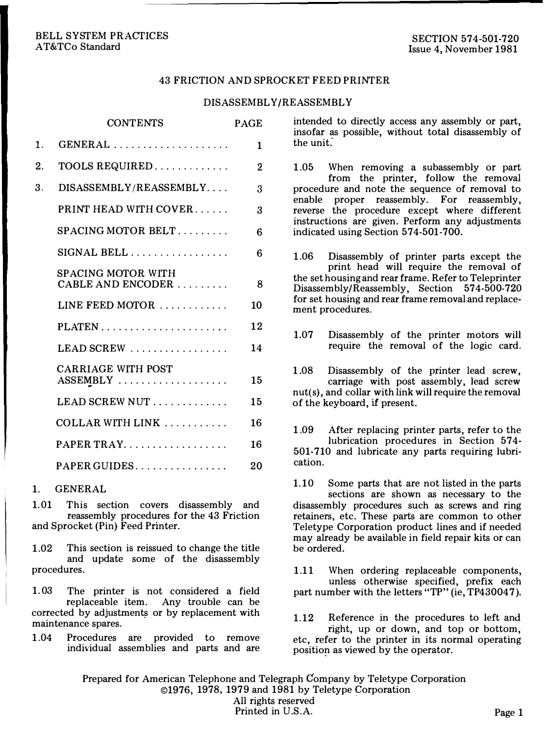#### 43 FRICTION AND SPROCKET FEED PRINTER

#### DISASSEMBLY/REASSEMBLY

|    | CONTENTS                                                    | PAGE |
|----|-------------------------------------------------------------|------|
| 1. | $GENERAL \ldots \ldots \ldots \ldots \ldots \ldots$         | 1    |
| 2. |                                                             | 2    |
| 3. | DISASSEMBLY/REASSEMBLY                                      | 3    |
|    | PRINT HEAD WITH COVER                                       | 3    |
|    | $\texttt{SPACEING MOTOR BELT} \ldots \ldots \ldots$         | 6    |
|    | $\rm{SIGNAL}$ $\rm{BELL}$                                   | 6    |
|    | SPACING MOTOR WITH<br>$CABLE AND ENCODER$                   | 8    |
|    | LINE FEED MOTOR $\ldots \ldots \ldots$                      | 10   |
|    | $PLATEN$                                                    | 12   |
|    | $LEAD SCREW$                                                | 14   |
|    | <b>CARRIAGE WITH POST</b><br>$ASSEMBLY$                     | 15   |
|    | LEAD SCREW NUT $\ldots$                                     | 15   |
|    | COLLAR WITH LINK $\ldots \ldots \ldots$                     | 16   |
|    | $PAPER \, TRAY. \ldots \ldots \ldots \ldots \ldots$         | 16   |
|    | $\texttt{PAPER GUIDES} \dots \dots \dots \dots \dots \dots$ | 20   |

### 1. GENERAL

1.01 This section covers disassembly and reassembly procedures for the 43 Friction and Sprocket (Pin) Feed Printer.

1.02 This section is reissued to change the title and update some of the disassembly procedures.

1.03 The printer is not considered a field replaceable item. Any trouble can be corrected by adjustments or by replacement with maintenance spares.

1.04 Procedures are provided to remove individual assemblies and parts and are

intended to directly access any assembly or part, insofar as possible, without total disassembly of the unit.

1.05 When removing a subassembly or part from the printer, follow the removal procedure and note the sequence of removal to enable proper reassembly. For reassembly, reverse the procedure except where different instructions are given. Perform any adjustments indicated using Section 574-501-700.

1.06 Disassembly of printer parts except the print head will require the removal of the set housing and rear frame. Refer to Teleprinter Disassembly/Reassembly, Section 574-500-720 for set housing and rear frame removal and replacement procedures.

1.07 Disassembly of the printer motors will require the removal of the logic card.

1.08 Disassembly of the printer lead screw, carriage with post assembly, lead screw nut(s), and collar with link will require the removal of the keyboard, if present.

1.09 After replacing printer parts, refer to the lubrication procedures in Section 574- 501-710 and lubricate any parts requiring lubrication.

1.10 Some parts that are not listed in the parts sections are shown as necessary to the disassembly procedures such as screws and ring retainers, etc. These parts are common to other Teletype Corporation product lines and if needed may already be available in field repair kits or can be ordered.

1.11 When ordering replaceable components, unless otherwise specified, prefix each part number with the letters "TP" (ie, TP430047).

1.12 Reference in the procedures to left and right, up or down, and top or bottom, etc, refer to the printer in its normal operating position as viewed by the operator.

Prepared for American Telephone and Telegraph Company by Teletype Corporation ©1976, 1978, 1979 and 1981 by Teletype Corporation All rights reserved Printed in U.S.A. Page 1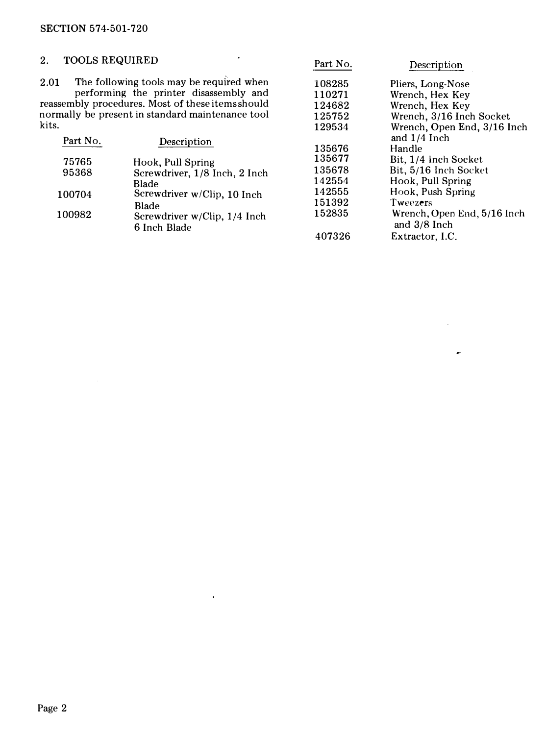### SECTION 574-501-720

 $\sim 400$ 

 $\rightarrow$ 

|                              | Description              | Part No. |                                                                                                                                                                                                                                             | <b>TOOLS REQUIRED</b><br>2.                   |
|------------------------------|--------------------------|----------|---------------------------------------------------------------------------------------------------------------------------------------------------------------------------------------------------------------------------------------------|-----------------------------------------------|
|                              | Pliers, Long-Nose        | 108285   | The following tools may be required when                                                                                                                                                                                                    | 2.01                                          |
|                              | Wrench, Hex Key          | 110271   | performing the printer disassembly and                                                                                                                                                                                                      |                                               |
|                              | Wrench, Hex Kev          | 124682   |                                                                                                                                                                                                                                             |                                               |
|                              | Wrench, 3/16 Inch Socket | 125752   |                                                                                                                                                                                                                                             |                                               |
| Wrench, Open End, 3/16 Inch  |                          | 129534   |                                                                                                                                                                                                                                             |                                               |
|                              | and 1/4 Inch             |          |                                                                                                                                                                                                                                             |                                               |
|                              | Handle                   | 135676   |                                                                                                                                                                                                                                             |                                               |
|                              | Bit, 1/4 Inch Socket     | 135677   |                                                                                                                                                                                                                                             |                                               |
|                              | Bit, 5/16 Inch Socket    | 135678   |                                                                                                                                                                                                                                             |                                               |
|                              | Hook, Pull Spring        | 142554   |                                                                                                                                                                                                                                             |                                               |
|                              | Hook, Push Spring        | 142555   |                                                                                                                                                                                                                                             |                                               |
|                              | <b>Tweezers</b>          | 151392   |                                                                                                                                                                                                                                             |                                               |
| Wrench, Open End, 5/16 Inch. | and $3/8$ Inch           | 152835   | Screwdriver w/Clip, 1/4 Inch                                                                                                                                                                                                                | 100982                                        |
|                              | Extractor, I.C.          | 407326   |                                                                                                                                                                                                                                             |                                               |
|                              |                          |          | reassembly procedures. Most of these items should<br>normally be present in standard maintenance tool<br>Description<br>Hook, Pull Spring<br>Screwdriver, 1/8 Inch, 2 Inch<br>Blade<br>Screwdriver w/Clip, 10 Inch<br>Blade<br>6 Inch Blade | kits.<br>Part No.<br>75765<br>95368<br>100704 |

 $\sim 10^{-1}$ 

 $\bullet$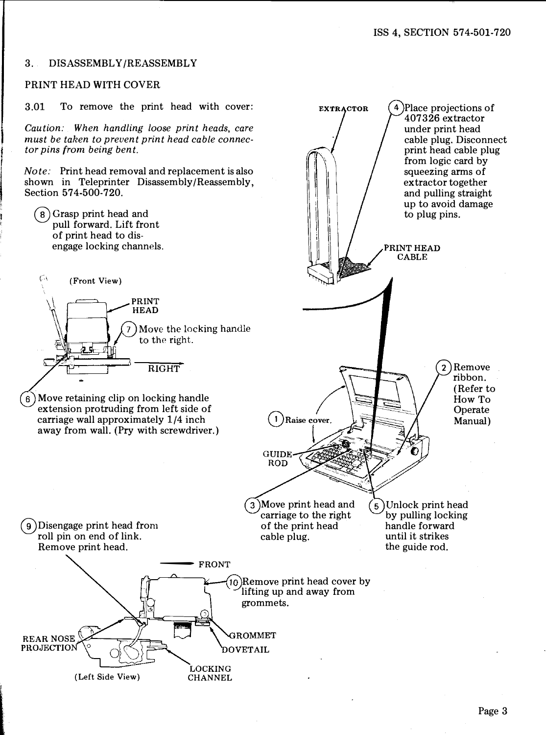#### 3. DISASSEMBLY/REASSEMBLY

#### PRINT HEAD WITH COVER

3.01 To remove the print head with cover:

Caution: When handling loose print heads, care must be taken to prevent print head cable connector pins from being bent.

Note: Print head removal and replacement is also shown in Teleprinter Disassembly/Reassembly, Section 574-500-720.

® Grasp print head and pull forward. Lift front of print head to disengage locking channels.

 $\bigcap$  (Front View)



Move retaining clip on locking handle  $6^{\circ}$ extension protruding from left side of carriage wall approximately 1/4 inch away from wall. (Pry with screwdriver.)

**EXTRACTOR** 4 Place projections of 407326 extractor under print head cable plug. Disconnect print head cable plug from logic card by squeezing arms of extractor together and pulling straight up to avoid damage to plug pins. PRINT HEAD  $C \triangle RLE$ 2)Remove ribbon. (Refer to How To **Operate**  $\mathbf{1}$ Raise cover. Manual) **GUIDE ROD** Move print head and  $(5)$ Unlock print head carriage to the right by pulling locking of the print head handle forward until it strikes cable plug. the guide rod.

0 Disengage print head from roll pin on end of link. Remove print head.

l

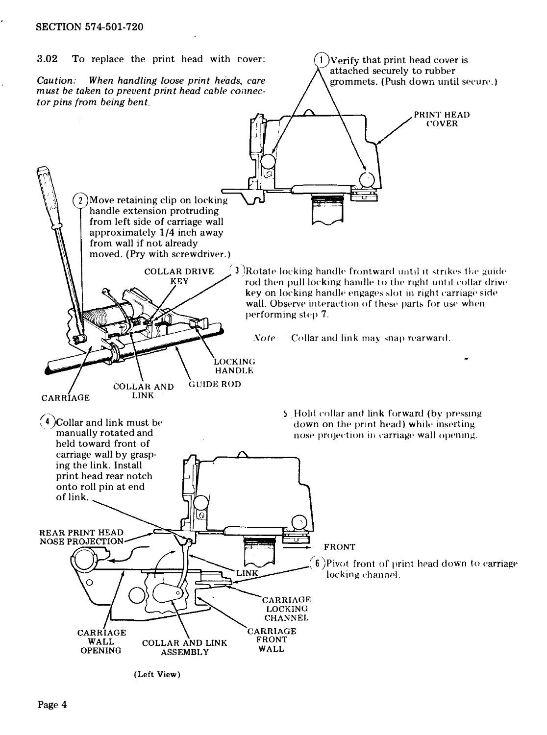

<sup>(</sup>Left View)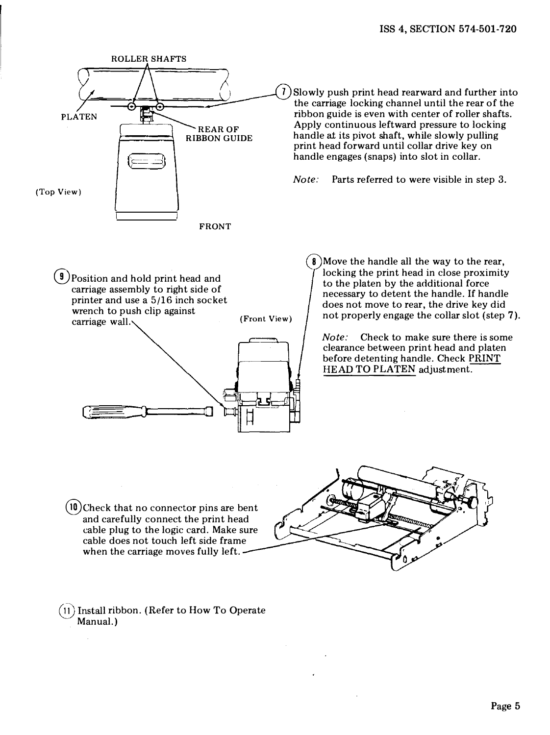

- $(10)$ Check that no connector pins are bent and carefully connect the print head cable plug to the logic card. Make sure cable does not touch left side frame when the carriage moves fully left.
- $(11)$  Install ribbon. (Refer to How To Operate Manual.)

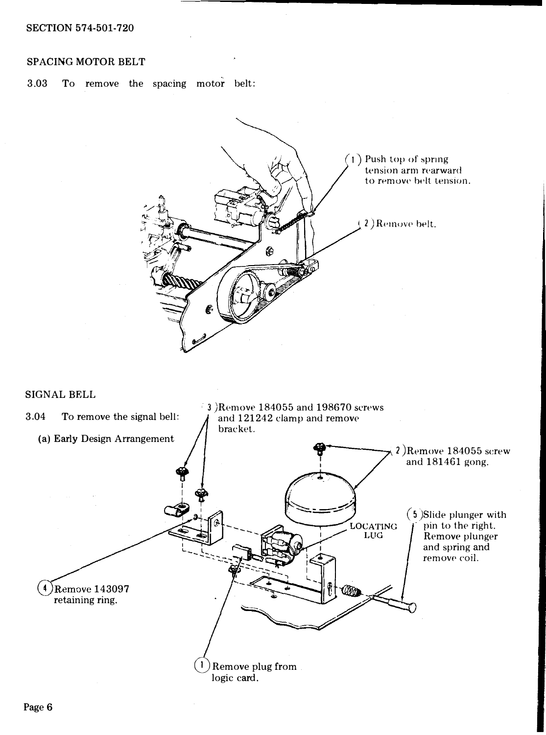## SPACING MOTOR BELT

3.03 To remove the spacing motor belt:



#### SIGNAL BELL

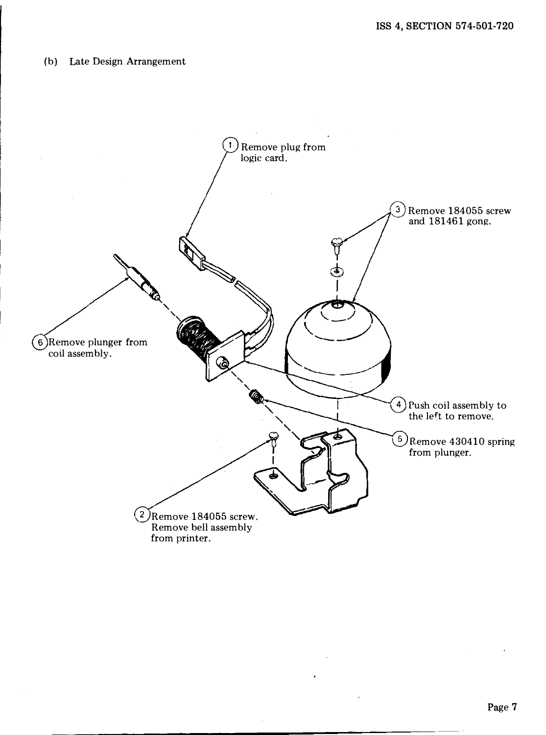## (b) Late Design Arrangement

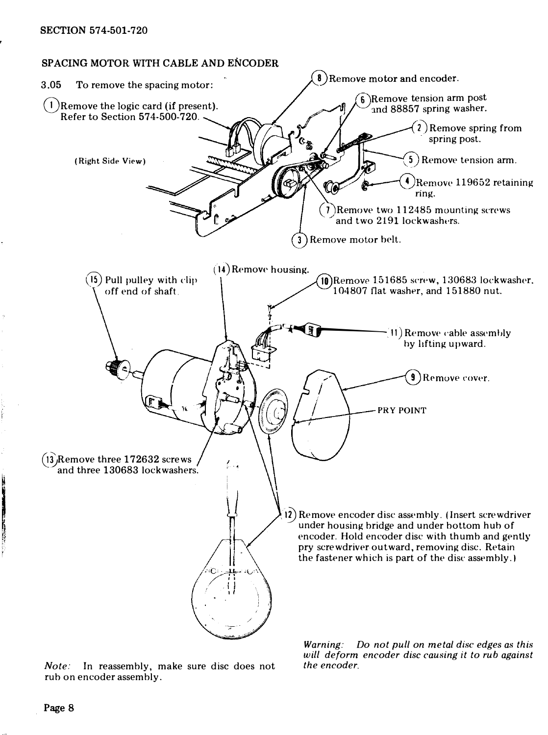

Note: In reassembly, make sure disc does not rub on encoder assembly.

Warning: Do not pull on metal disc edges as this will deform encoder disc causing it to rub against the encoder.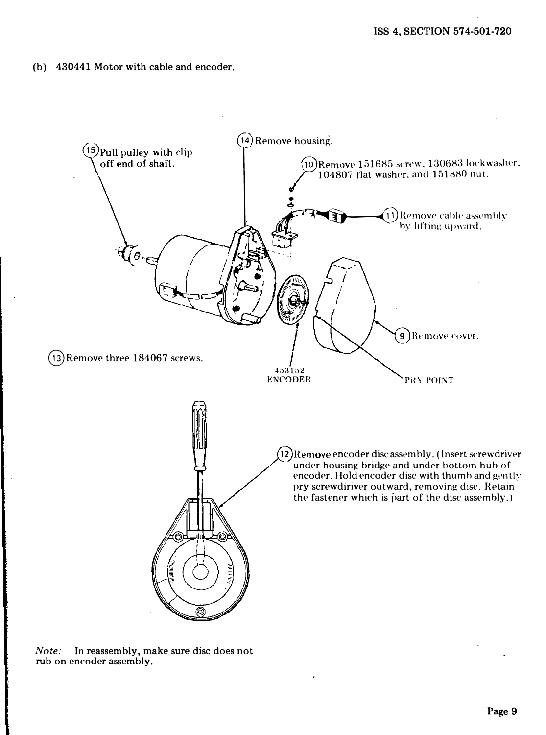(b) 430441 Motor with cable and encoder.



Note: In reassembly, make sure disc does not rub on encoder assembly.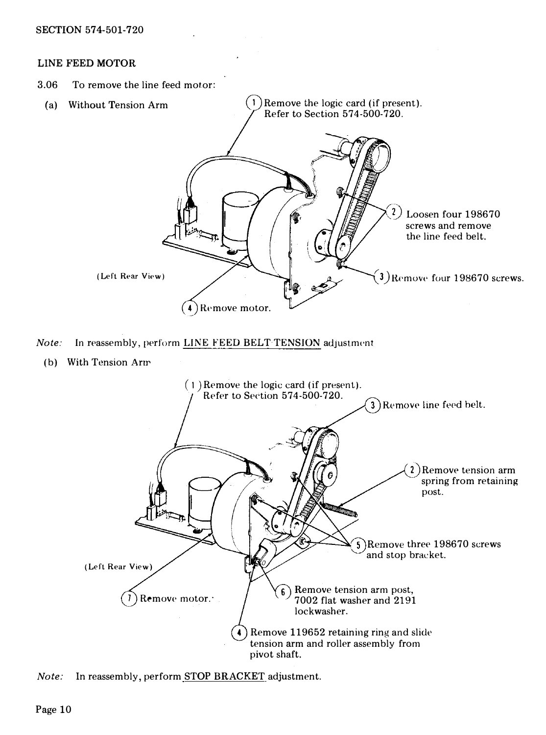### LINE FEED MOTOR

3.06 To remove the line feed motor:



Remove 119652 retaining ring and slide 4 tension arm and roller assembly from pivot shaft.

Note: In reassembly, perform STOP BRACKET adjustment.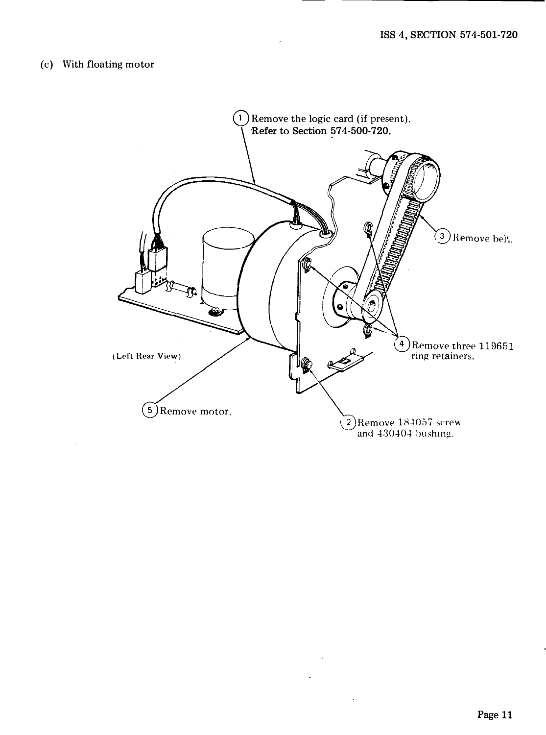# (c) With floating motor

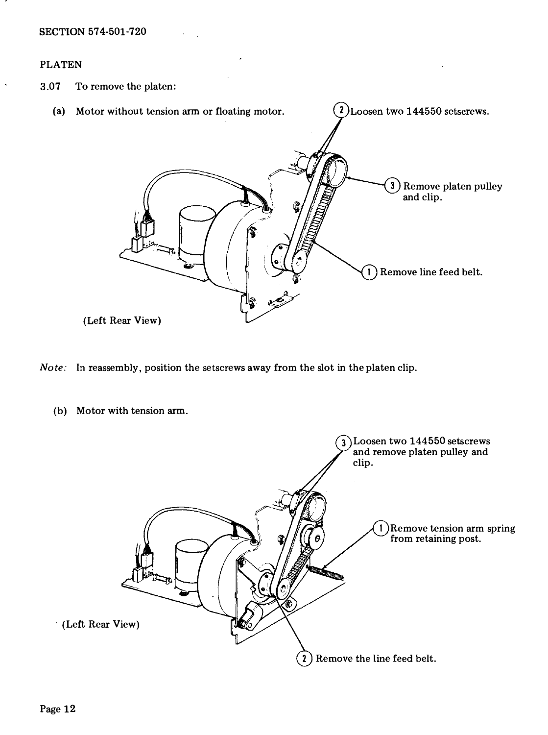## PLATEN

3.07 To remove the platen:



- Note: In reassembly, position the setscrews away from the slot in the platen clip.
	- (b) Motor with tension arm.

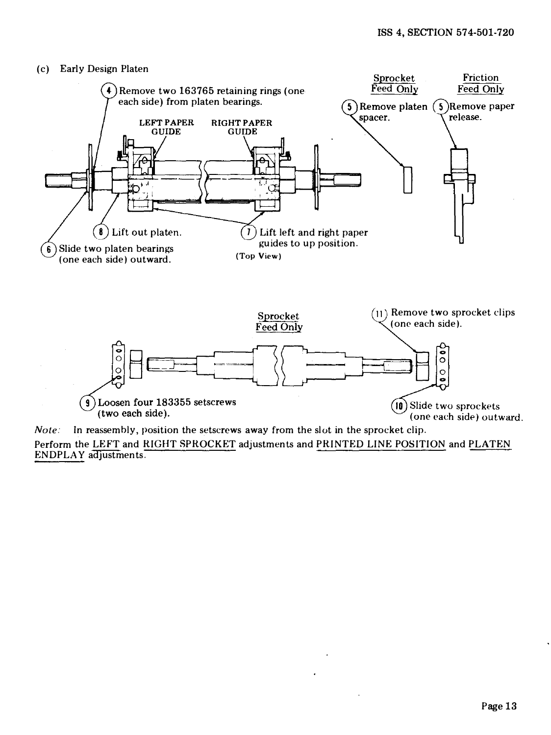

Note: In reassembly, position the setscrews away from the slot in the sprocket clip. Perform the LEFT and RIGHT SPROCKET adjustments and PRINTED LINE POSITION and PLATEN ENDPLA Y adjustments.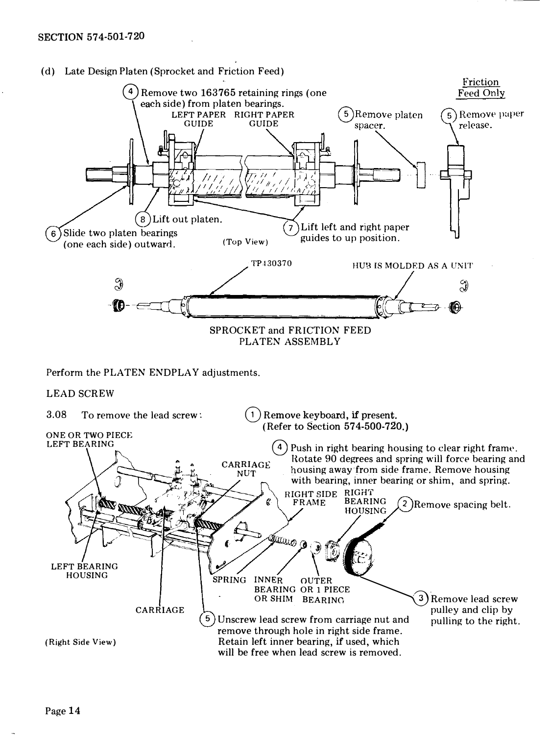

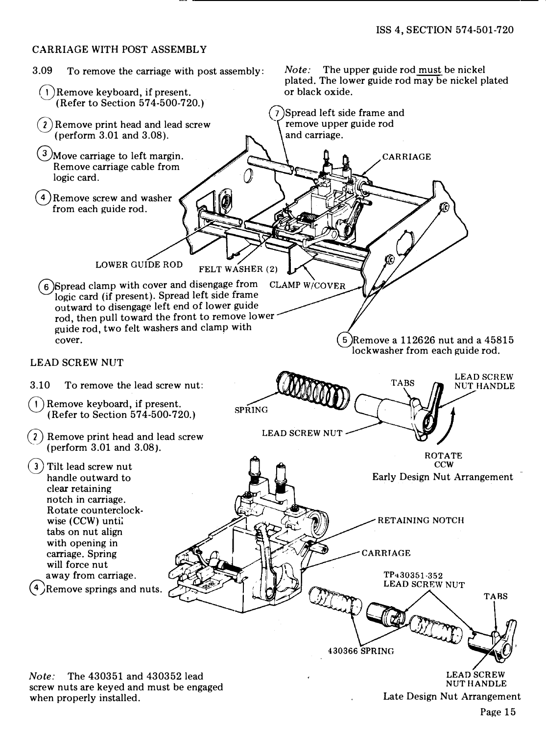### CARRIAGE WITH POST ASSEMBLY

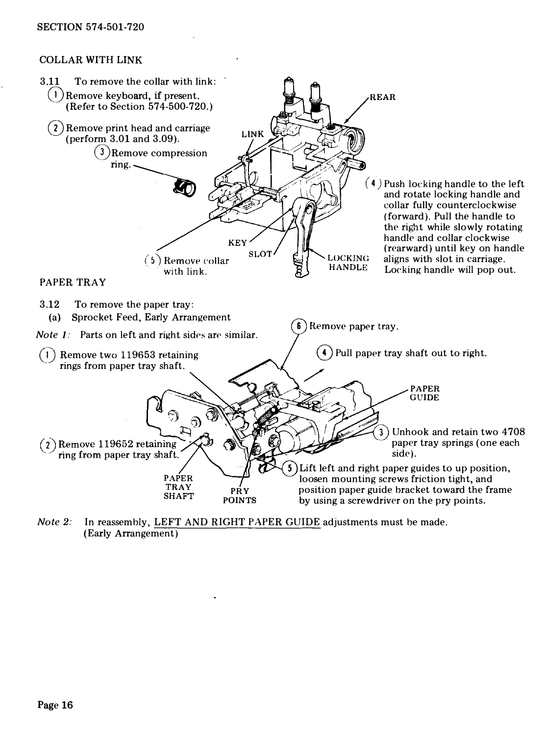#### SECTION 574-501-720

### COLLAR WITH LINK



Note 2: In reassembly, LEFT AND RIGHT PAPER GUIDE adjustments must be made. (Early Arrangement)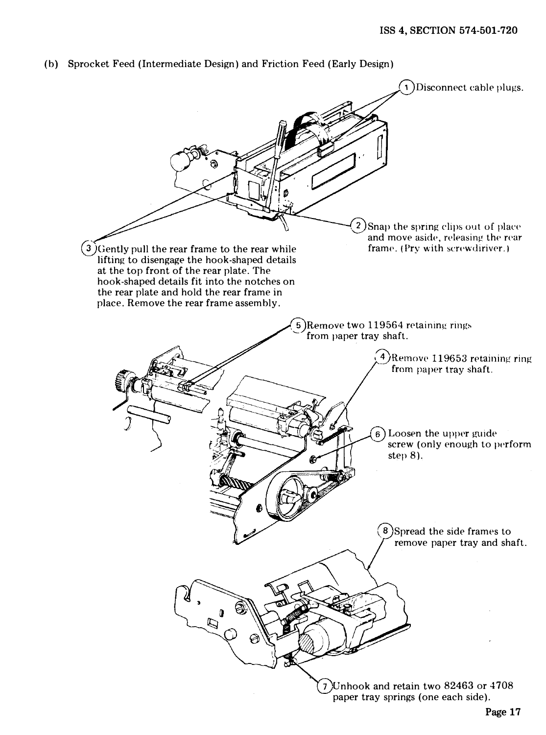

(b) Sprocket Feed (Intermediate Design) and Friction Feed (Early Design)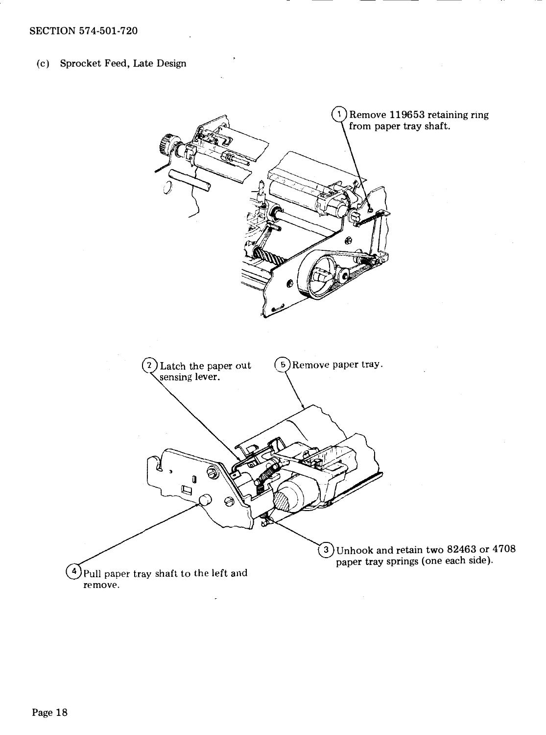### (c) Sprocket Feed, Late Design

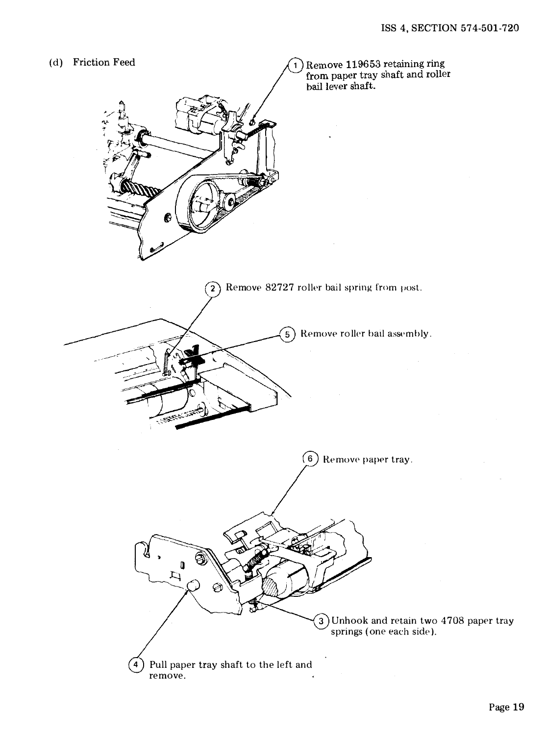